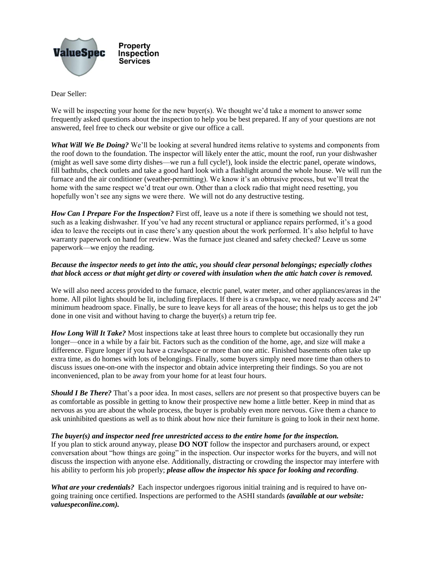

Dear Seller:

We will be inspecting your home for the new buyer(s). We thought we'd take a moment to answer some frequently asked questions about the inspection to help you be best prepared. If any of your questions are not answered, feel free to check our website or give our office a call.

*What Will We Be Doing?* We'll be looking at several hundred items relative to systems and components from the roof down to the foundation. The inspector will likely enter the attic, mount the roof, run your dishwasher (might as well save some dirty dishes—we run a full cycle!), look inside the electric panel, operate windows, fill bathtubs, check outlets and take a good hard look with a flashlight around the whole house. We will run the furnace and the air conditioner (weather-permitting). We know it's an obtrusive process, but we'll treat the home with the same respect we'd treat our own. Other than a clock radio that might need resetting, you hopefully won't see any signs we were there. We will not do any destructive testing.

*How Can I Prepare For the Inspection?* First off, leave us a note if there is something we should not test, such as a leaking dishwasher. If you've had any recent structural or appliance repairs performed, it's a good idea to leave the receipts out in case there's any question about the work performed. It's also helpful to have warranty paperwork on hand for review. Was the furnace just cleaned and safety checked? Leave us some paperwork—we enjoy the reading.

## *Because the inspector needs to get into the attic, you should clear personal belongings; especially clothes that block access or that might get dirty or covered with insulation when the attic hatch cover is removed.*

We will also need access provided to the furnace, electric panel, water meter, and other appliances/areas in the home. All pilot lights should be lit, including fireplaces. If there is a crawlspace, we need ready access and 24" minimum headroom space. Finally, be sure to leave keys for all areas of the house; this helps us to get the job done in one visit and without having to charge the buyer(s) a return trip fee.

*How Long Will It Take?* Most inspections take at least three hours to complete but occasionally they run longer—once in a while by a fair bit. Factors such as the condition of the home, age, and size will make a difference. Figure longer if you have a crawlspace or more than one attic. Finished basements often take up extra time, as do homes with lots of belongings. Finally, some buyers simply need more time than others to discuss issues one-on-one with the inspector and obtain advice interpreting their findings. So you are not inconvenienced, plan to be away from your home for at least four hours.

*Should I Be There?* That's a poor idea. In most cases, sellers are *not* present so that prospective buyers can be as comfortable as possible in getting to know their prospective new home a little better. Keep in mind that as nervous as you are about the whole process, the buyer is probably even more nervous. Give them a chance to ask uninhibited questions as well as to think about how nice their furniture is going to look in their next home.

## *The buyer(s) and inspector need free unrestricted access to the entire home for the inspection.*

If you plan to stick around anyway, please **DO NOT** follow the inspector and purchasers around, or expect conversation about "how things are going" in the inspection. Our inspector works for the buyers, and will not discuss the inspection with anyone else. Additionally, distracting or crowding the inspector may interfere with his ability to perform his job properly; *please allow the inspector his space for looking and recording*.

*What are your credentials?* Each inspector undergoes rigorous initial training and is required to have ongoing training once certified. Inspections are performed to the ASHI standards *(available at our website: valuespeconline.com).*